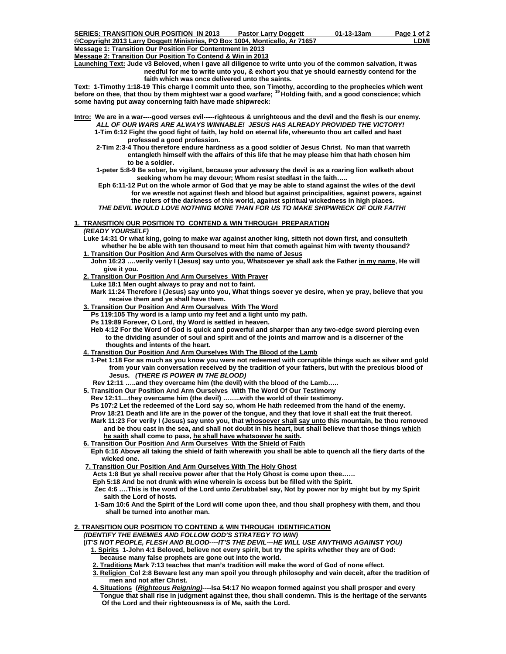**Message 1: Transition Our Position For Contentment In 2013**

**Message 2: Transition Our Position To Contend & Win in 2013**

**Launching Text: Jude v3 Beloved, when I gave all diligence to write unto you of the common salvation, it was needful for me to write unto you, & exhort you that ye should earnestly contend for the faith which was once delivered unto the saints.** 

**Text: 1-Timothy 1:18-19 This charge I commit unto thee, son Timothy, according to the prophecies which went before on thee, that thou by them mightest war a good warfare; 19 Holding faith, and a good conscience; which some having put away concerning faith have made shipwreck:**

- **Intro: We are in a war----good verses evil-----righteous & unrighteous and the devil and the flesh is our enemy.** *ALL OF OUR WARS ARE ALWAYS WINNABLE! JESUS HAS ALREADY PROVIDED THE VICTORY!*   **1-Tim 6:12 Fight the good fight of faith, lay hold on eternal life, whereunto thou art called and hast professed a good profession.** 
	- **2-Tim 2:3-4 Thou therefore endure hardness as a good soldier of Jesus Christ. No man that warreth entangleth himself with the affairs of this life that he may please him that hath chosen him to be a soldier.**
	- **1-peter 5:8-9 Be sober, be vigilant, because your advesary the devil is as a roaring lion walketh about seeking whom he may devour; Whom resist stedfast in the faith…..**
	- **Eph 6:11-12 Put on the whole armor of God that ye may be able to stand against the wiles of the devil for we wrestle not against flesh and blood but against principalities, against powers, against the rulers of the darkness of this world, against spiritual wickedness in high places.** *THE DEVIL WOULD LOVE NOTHING MORE THAN FOR US TO MAKE SHIPWRECK OF OUR FAITH!*

**1. TRANSITION OUR POSITION TO CONTEND & WIN THROUGH PREPARATION**

## *(READY YOURSELF)*

 **Luke 14:31 Or what king, going to make war against another king, sitteth not down first, and consulteth whether he be able with ten thousand to meet him that cometh against him with twenty thousand?** 

- **1. Transition Our Position And Arm Ourselves with the name of Jesus**
- **John 16:23 ….verily verily I (Jesus) say unto you, Whatsoever ye shall ask the Father in my name, He will give it you.**
- **2. Transition Our Position And Arm Ourselves With Prayer**

 **Luke 18:1 Men ought always to pray and not to faint.** 

 **Mark 11:24 Therefore I (Jesus) say unto you, What things soever ye desire, when ye pray, believe that you receive them and ye shall have them.** 

- **3. Transition Our Position And Arm Ourselves With The Word**
	- **Ps 119:105 Thy word is a lamp unto my feet and a light unto my path.**
	- **Ps 119:89 Forever, O Lord, thy Word is settled in heaven.**

 **Heb 4:12 For the Word of God is quick and powerful and sharper than any two-edge sword piercing even to the dividing asunder of soul and spirit and of the joints and marrow and is a discerner of the thoughts and intents of the heart.** 

 **4. Transition Our Position And Arm Ourselves With The Blood of the Lamb**

 **1-Pet 1:18 For as much as you know you were not redeemed with corruptible things such as silver and gold from your vain conversation received by the tradition of your fathers, but with the precious blood of Jesus.** *(THERE IS POWER IN THE BLOOD)*

- **Rev 12:11 …..and they overcame him (the devil) with the blood of the Lamb…..**
- **5. Transition Our Position And Arm Ourselves With The Word Of Our Testimony**
	- **Rev 12:11…they overcame him (the devil) ……..with the world of their testimony.**
	- **Ps 107:2 Let the redeemed of the Lord say so, whom He hath redeemed from the hand of the enemy.**
	- **Prov 18:21 Death and life are in the power of the tongue, and they that love it shall eat the fruit thereof. Mark 11:23 For verily I (Jesus) say unto you, that whosoever shall say unto this mountain, be thou removed and be thou cast in the sea, and shall not doubt in his heart, but shall believe that those things which he saith shall come to pass, he shall have whatsoever he saith.**
- **6. Transition Our Position And Arm Ourselves With the Shield of Faith**
- **Eph 6:16 Above all taking the shield of faith wherewith you shall be able to quench all the fiery darts of the wicked one.**
- **7. Transition Our Position And Arm Ourselves With The Holy Ghost**
	- **Acts 1:8 But ye shall receive power after that the Holy Ghost is come upon thee……**

 **Eph 5:18 And be not drunk with wine wherein is excess but be filled with the Spirit.** 

 **Zec 4:6 ….This is the word of the Lord unto Zerubbabel say, Not by power nor by might but by my Spirit saith the Lord of hosts.** 

 **1-Sam 10:6 And the Spirit of the Lord will come upon thee, and thou shall prophesy with them, and thou shall be turned into another man.** 

#### **2. TRANSITION OUR POSITION TO CONTEND & WIN THROUGH IDENTIFICATION** *(IDENTIFY THE ENEMIES AND FOLLOW GOD'S STRATEGY TO WIN)*

 **(***IT'S NOT PEOPLE, FLESH AND BLOOD----IT'S THE DEVIL---HE WILL USE ANYTHING AGAINST YOU)* 

- **1. Spirits 1-John 4:1 Beloved, believe not every spirit, but try the spirits whether they are of God: because many false prophets are gone out into the world.**
- **2. Traditions Mark 7:13 teaches that man's tradition will make the word of God of none effect.**
- **3. Religion Col 2:8 Beware lest any man spoil you through philosophy and vain deceit, after the tradition of men and not after Christ.**
- **4. Situations (***Righteous Reigning)***----Isa 54:17 No weapon formed against you shall prosper and every Tongue that shall rise in judgment against thee, thou shall condemn. This is the heritage of the servants Of the Lord and their righteousness is of Me, saith the Lord.**